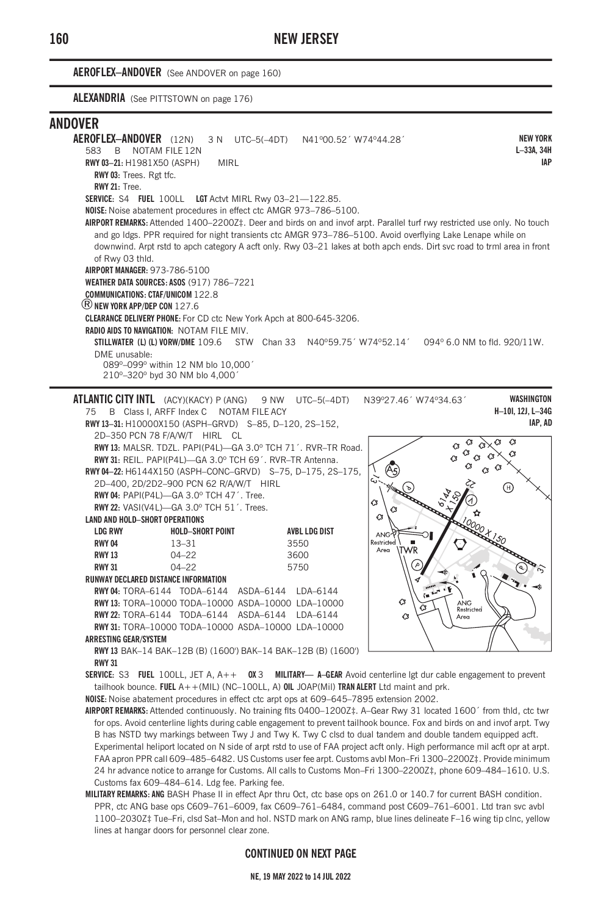**AEROFLEX–ANDOVER** (See ANDOVER on page 160)

**ALEXANDRIA** (See PITTSTOWN on page 176) **ANDOVER AEROFLEX–ANDOVER** (12N) 3 N UTC–5(–4DT) N41º00.52´ W74º44.28´ **NEW YORK L–33A, 34H** 583 B NOTAM FILE 12N **RWY 03–21:** H1981X50 (ASPH) MIRL **IAP RWY 03:** Trees. Rgt tfc. **RWY 21:** Tree. **SERVICE:** S4 **FUEL** 100LL **LGT** Actvt MIRL Rwy 03–21—122.85. **NOISE:** Noise abatement procedures in effect ctc AMGR 973–786–5100. **AIRPORT REMARKS:** Attended 1400–2200Z‡. Deer and birds on and invof arpt. Parallel turf rwy restricted use only. No touch and go ldgs. PPR required for night transients ctc AMGR 973–786–5100. Avoid overflying Lake Lenape while on downwind. Arpt rstd to apch category A acft only. Rwy 03–21 lakes at both apch ends. Dirt svc road to trml area in front of Rwy 03 thld. **AIRPORT MANAGER:** 973-786-5100 **WEATHER DATA SOURCES: ASOS** (917) 786–7221 **COMMUNICATIONS: CTAF/UNICOM** 122.8 ®**NEW YORK APP/DEP CON** 127.6 **CLEARANCE DELIVERY PHONE:** For CD ctc New York Apch at 800-645-3206. **RADIO AIDS TO NAVIGATION:** NOTAM FILE MIV. **STILLWATER (L) (L) VORW/DME** 109.6 STW Chan 33 N40º59.75´ W74º52.14´ 094º 6.0 NM to fld. 920/11W. DME unusable: 089º–099º within 12 NM blo 10,000´ 210º–320º byd 30 NM blo 4,000´ **ATLANTIC CITY INTL** (ACY)(KACY) P (ANG) 9 NW UTC–5(–4DT) N39º27.46´ W74º34.63´ **WASHINGTON** 75 B Class I, ARFF Index C NOTAM FILE ACY **H–10I, 12J, L–34G RWY 13–31:** H10000X150 (ASPH–GRVD) S–85, D–120, 2S–152, **IAP, AD** 2D–350 PCN 78 F/A/W/T HIRL CL  $G \rightarrow G \times G$   $G$ **RWY 13:** MALSR. TDZL. PAPI(P4L)—GA 3.0º TCH 71´. RVR–TR Road.  $\overline{3}$  $\alpha$  $\alpha$  $\alpha$   $\alpha$  $\alpha$ **RWY 31:** REIL. PAPI(P4L)—GA 3.0º TCH 69´. RVR–TR Antenna.  $\alpha$   $\alpha$  $\alpha$  $(A<sub>5</sub>)$ **RWY 04–22:** H6144X150 (ASPH–CONC–GRVD) S–75, D–175, 2S–175, 2D–400, 2D/2D2–900 PCN 62 R/A/W/T HIRL ⊕ **RWY 04:** PAPI(P4L)—GA 3.0º TCH 47´. Tree.  $\alpha$ **RWY 22:** VASI(V4L)—GA 3.0º TCH 51´. Trees.

**LAND AND HOLD–SHORT OPERATIONS**

| <b>LDG RWY</b> | <b>HOLD-SHORT POINT</b>              | AVRI I DG DIST |
|----------------|--------------------------------------|----------------|
| <b>RWY 04</b>  | $13 - 31$                            | 3550           |
| <b>RWY 13</b>  | $04 - 22$                            | 3600           |
| <b>RWY 31</b>  | $04 - 22$                            | 5750           |
|                | RUNWAY DECLARED DISTANCE INFORMATION |                |

**RWY 04:** TORA–6144 TODA–6144 ASDA–6144 LDA–6144 **RWY 13:** TORA–10000 TODA–10000 ASDA–10000 LDA–10000 **RWY 22:** TORA–6144 TODA–6144 ASDA–6144 LDA–6144 **RWY 31:** TORA–10000 TODA–10000 ASDA–10000 LDA–10000



**ARRESTING GEAR/SYSTEM**

**RWY 13** BAK–14 BAK–12B (B) (1600') BAK–14 BAK–12B (B) (1600') **RWY 31**

**SERVICE:** S3 **FUEL** 100LL, JET A, A++ **OX** 3 **MILITARY— A–GEAR** Avoid centerline lgt dur cable engagement to prevent tailhook bounce. **FUEL** A++(MIL) (NC–100LL, A) **OIL** JOAP(Mil) **TRAN ALERT** Ltd maint and prk.

**NOISE:** Noise abatement procedures in effect ctc arpt ops at 609–645–7895 extension 2002.

**AIRPORT REMARKS:** Attended continuously. No training flts 0400–1200Z‡. A–Gear Rwy 31 located 1600´ from thld, ctc twr for ops. Avoid centerline lights during cable engagement to prevent tailhook bounce. Fox and birds on and invof arpt. Twy B has NSTD twy markings between Twy J and Twy K. Twy C clsd to dual tandem and double tandem equipped acft. Experimental heliport located on N side of arpt rstd to use of FAA project acft only. High performance mil acft opr at arpt. FAA apron PPR call 609–485–6482. US Customs user fee arpt. Customs avbl Mon–Fri 1300–2200Z‡. Provide minimum 24 hr advance notice to arrange for Customs. All calls to Customs Mon–Fri 1300–2200Z‡, phone 609–484–1610. U.S. Customs fax 609–484–614. Ldg fee. Parking fee.

**MILITARY REMARKS: ANG** BASH Phase II in effect Apr thru Oct, ctc base ops on 261.0 or 140.7 for current BASH condition. PPR, ctc ANG base ops C609–761–6009, fax C609–761–6484, command post C609–761–6001. Ltd tran svc avbl 1100–2030Z‡ Tue–Fri, clsd Sat–Mon and hol. NSTD mark on ANG ramp, blue lines delineate F–16 wing tip clnc, yellow lines at hangar doors for personnel clear zone.

## **CONTINUED ON NEXT PAGE**

**NE, 19 MAY 2022 to 14 JUL 2022**